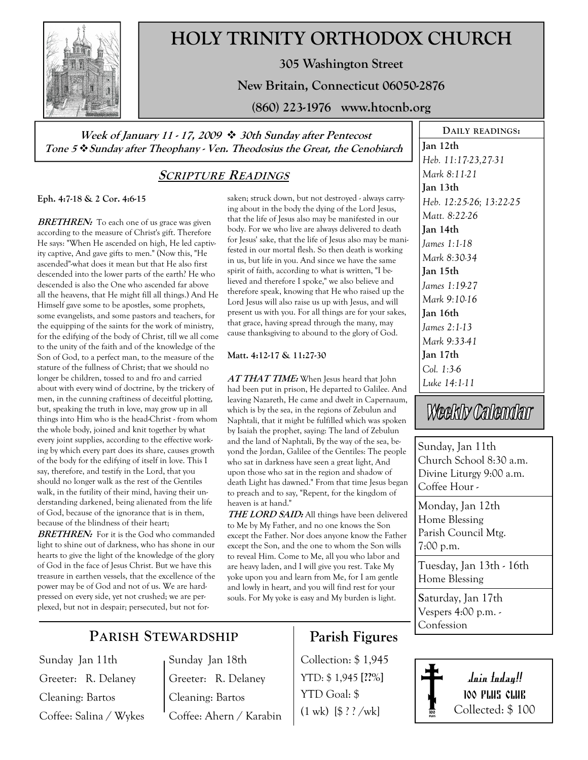

# HOLY TRINITY ORTHODOX CHURCH

305 Washington Street

New Britain, Connecticut 06050-2876

(860) 223-1976 www.htocnb.org

Week of January 11 - 17, 2009  $\div$  30th Sunday after Pentecost Tone 5 \* Sunday after Theophany - Ven. Theodosius the Great, the Cenobiarch

### SCRIPTURE READINGS

Eph. 4:7-18 & 2 Cor. 4:6-15

**BRETHREN:** To each one of us grace was given according to the measure of Christ's gift. Therefore He says: "When He ascended on high, He led captivity captive, And gave gifts to men." (Now this, "He ascended"-what does it mean but that He also first descended into the lower parts of the earth? He who descended is also the One who ascended far above all the heavens, that He might fill all things.) And He Himself gave some to be apostles, some prophets, some evangelists, and some pastors and teachers, for the equipping of the saints for the work of ministry, for the edifying of the body of Christ, till we all come to the unity of the faith and of the knowledge of the Son of God, to a perfect man, to the measure of the stature of the fullness of Christ; that we should no longer be children, tossed to and fro and carried about with every wind of doctrine, by the trickery of men, in the cunning craftiness of deceitful plotting, but, speaking the truth in love, may grow up in all things into Him who is the head-Christ - from whom the whole body, joined and knit together by what every joint supplies, according to the effective working by which every part does its share, causes growth of the body for the edifying of itself in love. This I say, therefore, and testify in the Lord, that you should no longer walk as the rest of the Gentiles walk, in the futility of their mind, having their understanding darkened, being alienated from the life of God, because of the ignorance that is in them, because of the blindness of their heart;

**BRETHREN:** For it is the God who commanded light to shine out of darkness, who has shone in our hearts to give the light of the knowledge of the glory of God in the face of Jesus Christ. But we have this treasure in earthen vessels, that the excellence of the power may be of God and not of us. We are hardpressed on every side, yet not crushed; we are perplexed, but not in despair; persecuted, but not forsaken; struck down, but not destroyed - always carrying about in the body the dying of the Lord Jesus, that the life of Jesus also may be manifested in our body. For we who live are always delivered to death for Jesus' sake, that the life of Jesus also may be manifested in our mortal flesh. So then death is working in us, but life in you. And since we have the same spirit of faith, according to what is written, "I believed and therefore I spoke," we also believe and therefore speak, knowing that He who raised up the Lord Jesus will also raise us up with Jesus, and will present us with you. For all things are for your sakes, that grace, having spread through the many, may cause thanksgiving to abound to the glory of God.

#### Matt. 4:12-17 & 11:27-30

AT THAT TIME: When Jesus heard that John had been put in prison, He departed to Galilee. And leaving Nazareth, He came and dwelt in Capernaum, which is by the sea, in the regions of Zebulun and Naphtali, that it might be fulfilled which was spoken by Isaiah the prophet, saying: The land of Zebulun and the land of Naphtali, By the way of the sea, beyond the Jordan, Galilee of the Gentiles: The people who sat in darkness have seen a great light, And upon those who sat in the region and shadow of death Light has dawned." From that time Jesus began to preach and to say, "Repent, for the kingdom of heaven is at hand."

**THE LORD SAID:** All things have been delivered to Me by My Father, and no one knows the Son except the Father. Nor does anyone know the Father except the Son, and the one to whom the Son wills to reveal Him. Come to Me, all you who labor and are heavy laden, and I will give you rest. Take My yoke upon you and learn from Me, for I am gentle and lowly in heart, and you will find rest for your souls. For My yoke is easy and My burden is light.

Heb. 11:17-23,27-31 Mark 8:11-21 Jan 13th Heb. 12:25-26; 13:22-25 Matt. 8:22-26 Jan 14th James 1:1-18 Mark 8:30-34 Jan 15th James 1:19-27 Mark 9:10-16 Jan 16th James 2:1-13 Mark 9:33-41 Jan 17th Col. 1:3-6 Luke 14:1-11

DAILY READINGS:

Jan 12th

# Weekly Callendar

Sunday, Jan 11th Church School 8:30 a.m. Divine Liturgy 9:00 a.m. Coffee Hour -

Monday, Jan 12th Home Blessing Parish Council Mtg. 7:00 p.m.

Tuesday, Jan 13th - 16th Home Blessing

Saturday, Jan 17th Vespers 4:00 p.m. - Confession

## PARISH STEWARDSHIP

Sunday Jan 11th Greeter: R. Delaney Cleaning: Bartos Coffee: Salina / Wykes Sunday Jan 18th Greeter: R. Delaney Cleaning: Bartos Coffee: Ahern / Karabin

# Parish Figures

Collection: \$ 1,945 YTD: \$1,945 [??%] YTD Goal: \$  $(1 \text{ wk})$   $[\frac{6}{3}$  ? ? /wk]